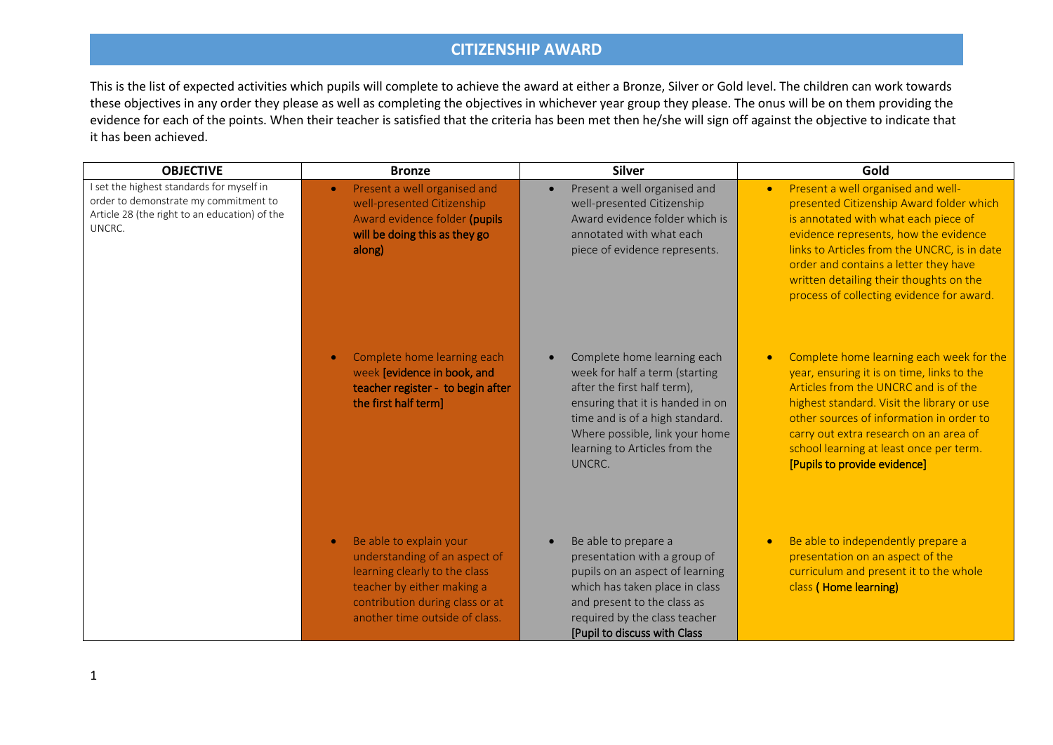| <b>OBJECTIVE</b>                                                                                                                              | <b>Bronze</b>                                                                                                                                                                                | <b>Silver</b>                                                                                                                                                                                                                                    | Gold                                                                                                                                                                                                                                                                                                                                                          |
|-----------------------------------------------------------------------------------------------------------------------------------------------|----------------------------------------------------------------------------------------------------------------------------------------------------------------------------------------------|--------------------------------------------------------------------------------------------------------------------------------------------------------------------------------------------------------------------------------------------------|---------------------------------------------------------------------------------------------------------------------------------------------------------------------------------------------------------------------------------------------------------------------------------------------------------------------------------------------------------------|
| I set the highest standards for myself in<br>order to demonstrate my commitment to<br>Article 28 (the right to an education) of the<br>UNCRC. | Present a well organised and<br>$\bullet$<br>well-presented Citizenship<br>Award evidence folder (pupils<br>will be doing this as they go<br>along)                                          | Present a well organised and<br>$\bullet$<br>well-presented Citizenship<br>Award evidence folder which is<br>annotated with what each<br>piece of evidence represents.                                                                           | Present a well organised and well-<br>$\bullet$<br>presented Citizenship Award folder which<br>is annotated with what each piece of<br>evidence represents, how the evidence<br>links to Articles from the UNCRC, is in date<br>order and contains a letter they have<br>written detailing their thoughts on the<br>process of collecting evidence for award. |
|                                                                                                                                               | Complete home learning each<br>week [evidence in book, and<br>teacher register - to begin after<br>the first half term]                                                                      | Complete home learning each<br>week for half a term (starting<br>after the first half term),<br>ensuring that it is handed in on<br>time and is of a high standard.<br>Where possible, link your home<br>learning to Articles from the<br>UNCRC. | Complete home learning each week for the<br>year, ensuring it is on time, links to the<br>Articles from the UNCRC and is of the<br>highest standard. Visit the library or use<br>other sources of information in order to<br>carry out extra research on an area of<br>school learning at least once per term.<br>[Pupils to provide evidence]                |
|                                                                                                                                               | Be able to explain your<br>understanding of an aspect of<br>learning clearly to the class<br>teacher by either making a<br>contribution during class or at<br>another time outside of class. | Be able to prepare a<br>presentation with a group of<br>pupils on an aspect of learning<br>which has taken place in class<br>and present to the class as<br>required by the class teacher<br>[Pupil to discuss with Class                        | Be able to independently prepare a<br>presentation on an aspect of the<br>curriculum and present it to the whole<br>class (Home learning)                                                                                                                                                                                                                     |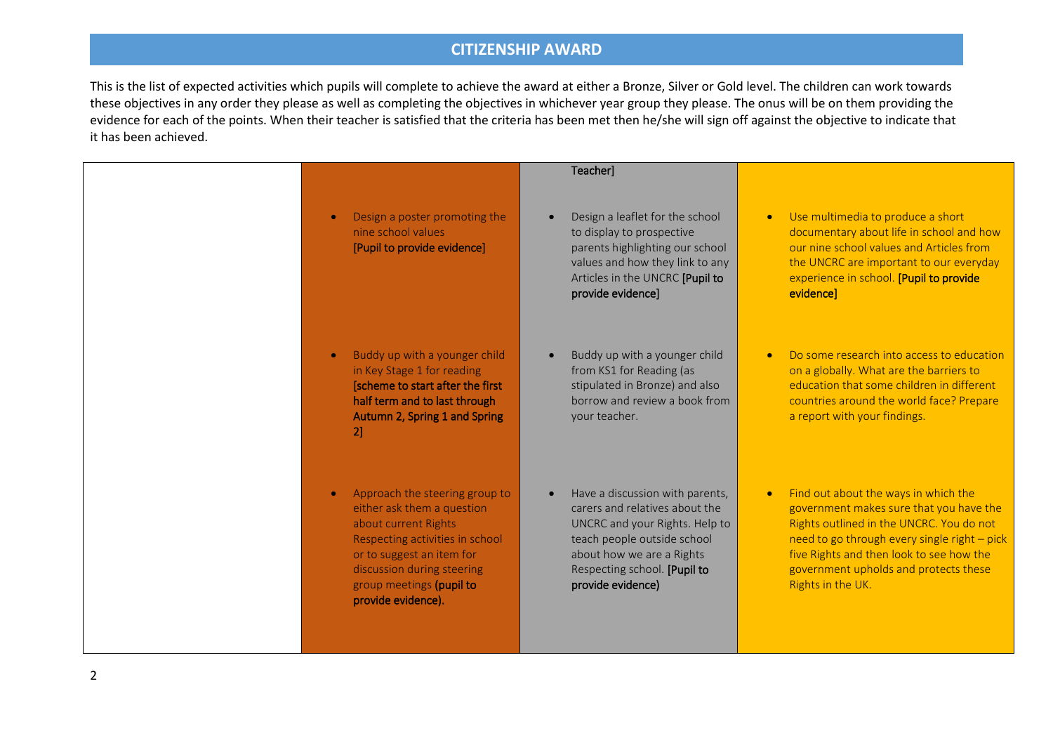|   |                                                                                                                                                                                                                                      | Teacher]                                                                                                                                                                                                             |                                                                                                                                                                                                                                                                                                    |
|---|--------------------------------------------------------------------------------------------------------------------------------------------------------------------------------------------------------------------------------------|----------------------------------------------------------------------------------------------------------------------------------------------------------------------------------------------------------------------|----------------------------------------------------------------------------------------------------------------------------------------------------------------------------------------------------------------------------------------------------------------------------------------------------|
|   | Design a poster promoting the<br>nine school values<br>[Pupil to provide evidence]                                                                                                                                                   | Design a leaflet for the school<br>to display to prospective<br>parents highlighting our school<br>values and how they link to any<br>Articles in the UNCRC [Pupil to<br>provide evidence]                           | Use multimedia to produce a short<br>$\bullet$<br>documentary about life in school and how<br>our nine school values and Articles from<br>the UNCRC are important to our everyday<br>experience in school. [Pupil to provide<br>evidence]                                                          |
|   | Buddy up with a younger child<br>in Key Stage 1 for reading<br>[scheme to start after the first<br>half term and to last through<br>Autumn 2, Spring 1 and Spring<br>21                                                              | Buddy up with a younger child<br>from KS1 for Reading (as<br>stipulated in Bronze) and also<br>borrow and review a book from<br>your teacher.                                                                        | Do some research into access to education<br>on a globally. What are the barriers to<br>education that some children in different<br>countries around the world face? Prepare<br>a report with your findings.                                                                                      |
|   | Approach the steering group to<br>either ask them a question<br>about current Rights<br>Respecting activities in school<br>or to suggest an item for<br>discussion during steering<br>group meetings (pupil to<br>provide evidence). | Have a discussion with parents,<br>carers and relatives about the<br>UNCRC and your Rights. Help to<br>teach people outside school<br>about how we are a Rights<br>Respecting school. [Pupil to<br>provide evidence) | Find out about the ways in which the<br>$\bullet$<br>government makes sure that you have the<br>Rights outlined in the UNCRC. You do not<br>need to go through every single right - pick<br>five Rights and then look to see how the<br>government upholds and protects these<br>Rights in the UK. |
| 2 |                                                                                                                                                                                                                                      |                                                                                                                                                                                                                      |                                                                                                                                                                                                                                                                                                    |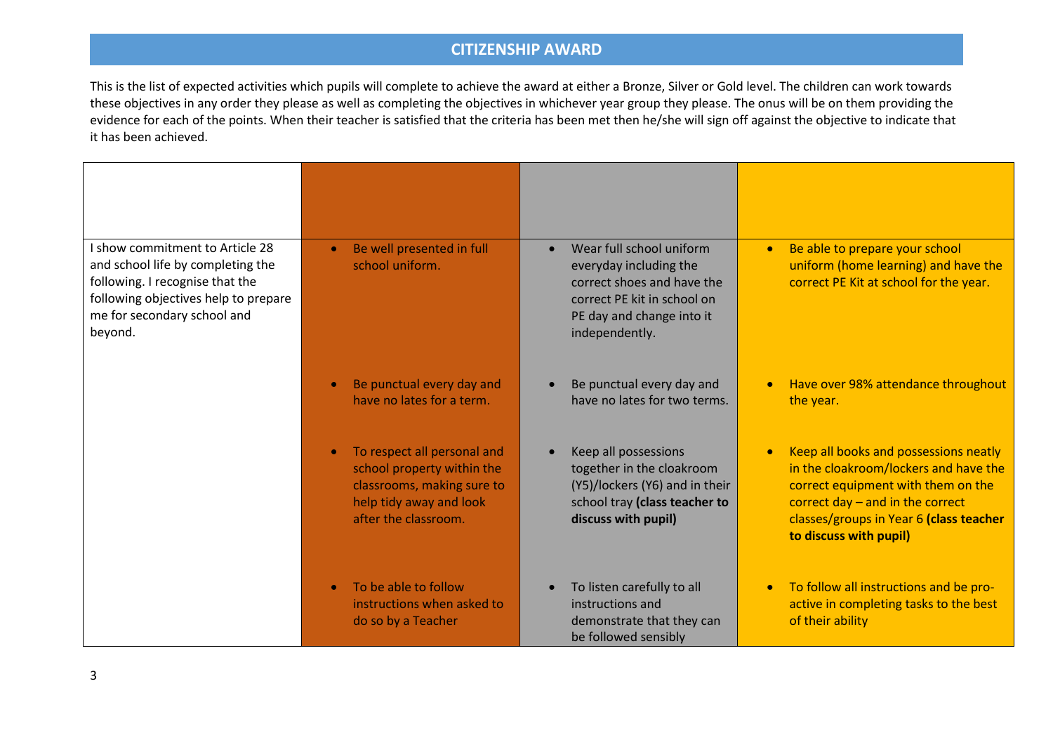| I show commitment to Article 28<br>and school life by completing the<br>following. I recognise that the<br>following objectives help to prepare<br>me for secondary school and<br>beyond. | Be well presented in full<br>school uniform.                                                                                               | Wear full school uniform<br>$\bullet$<br>everyday including the<br>correct shoes and have the<br>correct PE kit in school on<br>PE day and change into it<br>independently. | Be able to prepare your school<br>$\bullet$<br>uniform (home learning) and have the<br>correct PE Kit at school for the year.                                                                                                   |
|-------------------------------------------------------------------------------------------------------------------------------------------------------------------------------------------|--------------------------------------------------------------------------------------------------------------------------------------------|-----------------------------------------------------------------------------------------------------------------------------------------------------------------------------|---------------------------------------------------------------------------------------------------------------------------------------------------------------------------------------------------------------------------------|
|                                                                                                                                                                                           | Be punctual every day and<br>have no lates for a term.                                                                                     | Be punctual every day and<br>$\bullet$<br>have no lates for two terms.                                                                                                      | Have over 98% attendance throughout<br>the year.                                                                                                                                                                                |
|                                                                                                                                                                                           | To respect all personal and<br>school property within the<br>classrooms, making sure to<br>help tidy away and look<br>after the classroom. | Keep all possessions<br>together in the cloakroom<br>(Y5)/lockers (Y6) and in their<br>school tray (class teacher to<br>discuss with pupil)                                 | Keep all books and possessions neatly<br>in the cloakroom/lockers and have the<br>correct equipment with them on the<br>correct day $-$ and in the correct<br>classes/groups in Year 6 (class teacher<br>to discuss with pupil) |
|                                                                                                                                                                                           | To be able to follow<br>instructions when asked to<br>do so by a Teacher                                                                   | To listen carefully to all<br>instructions and<br>demonstrate that they can<br>be followed sensibly                                                                         | To follow all instructions and be pro-<br>$\bullet$<br>active in completing tasks to the best<br>of their ability                                                                                                               |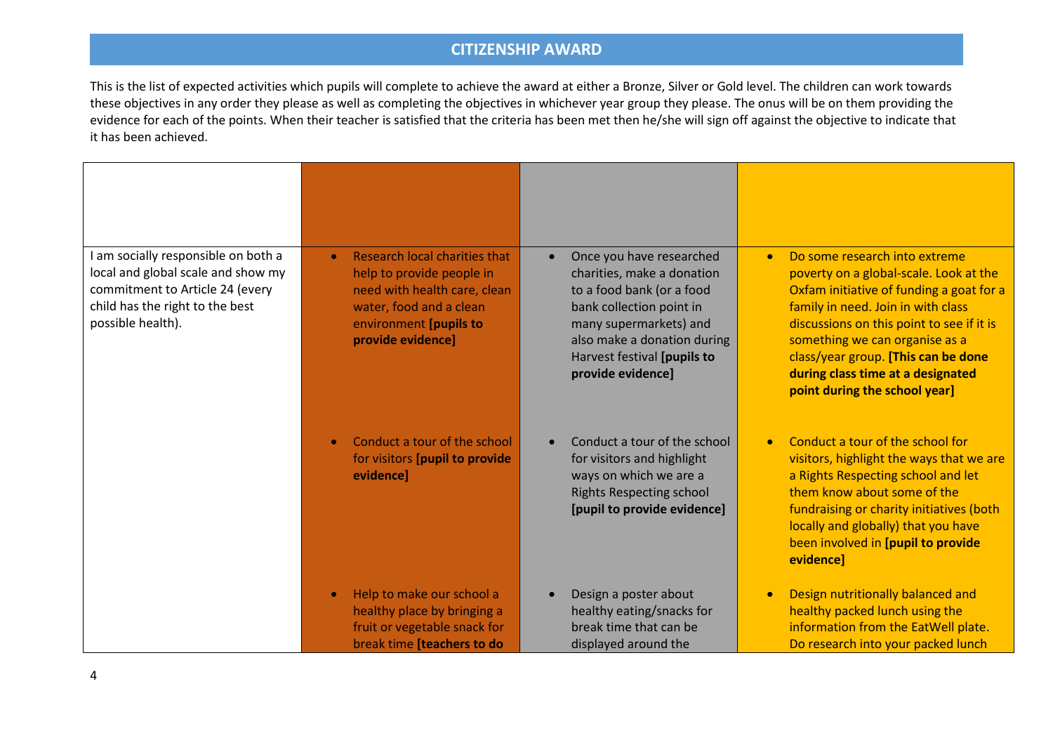| am socially responsible on both a<br>local and global scale and show my<br>commitment to Article 24 (every<br>child has the right to the best<br>possible health). | Research local charities that<br>$\bullet$<br>help to provide people in<br>need with health care, clean<br>water, food and a clean<br>environment [pupils to<br>provide evidence] | Once you have researched<br>charities, make a donation<br>to a food bank (or a food<br>bank collection point in<br>many supermarkets) and<br>also make a donation during<br>Harvest festival [pupils to<br>provide evidence] | Do some research into extreme<br>$\bullet$<br>poverty on a global-scale. Look at the<br>Oxfam initiative of funding a goat for a<br>family in need. Join in with class<br>discussions on this point to see if it is<br>something we can organise as a<br>class/year group. [This can be done<br>during class time at a designated<br>point during the school year] |
|--------------------------------------------------------------------------------------------------------------------------------------------------------------------|-----------------------------------------------------------------------------------------------------------------------------------------------------------------------------------|------------------------------------------------------------------------------------------------------------------------------------------------------------------------------------------------------------------------------|--------------------------------------------------------------------------------------------------------------------------------------------------------------------------------------------------------------------------------------------------------------------------------------------------------------------------------------------------------------------|
|                                                                                                                                                                    | Conduct a tour of the school<br>for visitors [pupil to provide<br>evidence]                                                                                                       | Conduct a tour of the school<br>for visitors and highlight<br>ways on which we are a<br><b>Rights Respecting school</b><br>[pupil to provide evidence]                                                                       | Conduct a tour of the school for<br>visitors, highlight the ways that we are<br>a Rights Respecting school and let<br>them know about some of the<br>fundraising or charity initiatives (both<br>locally and globally) that you have<br>been involved in [pupil to provide<br>evidence]                                                                            |
|                                                                                                                                                                    | Help to make our school a<br>healthy place by bringing a<br>fruit or vegetable snack for<br>break time [teachers to do                                                            | Design a poster about<br>healthy eating/snacks for<br>break time that can be<br>displayed around the                                                                                                                         | Design nutritionally balanced and<br>healthy packed lunch using the<br>information from the EatWell plate.<br>Do research into your packed lunch                                                                                                                                                                                                                   |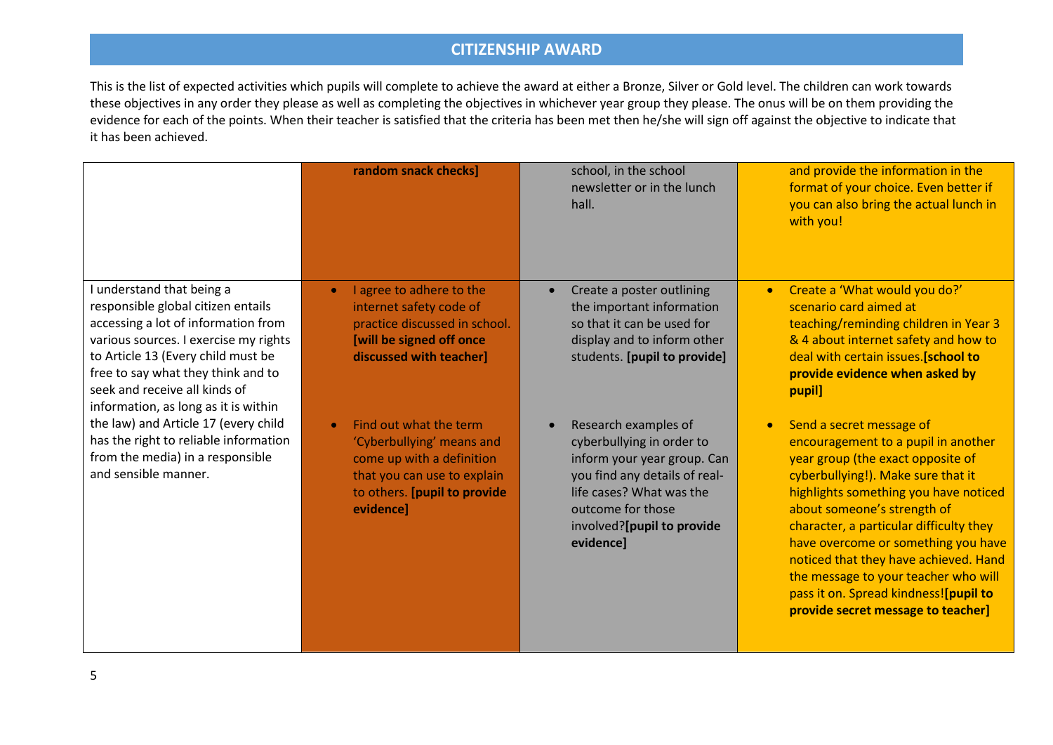|                                                                                                                                                                                                                                                                                                      | random snack checks]                                                                                                                                                      | school, in the school<br>newsletter or in the lunch<br>hall.                                                                                                                                                  | and provide the information in the<br>format of your choice. Even better if<br>you can also bring the actual lunch in<br>with you!                                                                                                                                                                                                                                                                                                                                                |
|------------------------------------------------------------------------------------------------------------------------------------------------------------------------------------------------------------------------------------------------------------------------------------------------------|---------------------------------------------------------------------------------------------------------------------------------------------------------------------------|---------------------------------------------------------------------------------------------------------------------------------------------------------------------------------------------------------------|-----------------------------------------------------------------------------------------------------------------------------------------------------------------------------------------------------------------------------------------------------------------------------------------------------------------------------------------------------------------------------------------------------------------------------------------------------------------------------------|
| I understand that being a<br>responsible global citizen entails<br>accessing a lot of information from<br>various sources. I exercise my rights<br>to Article 13 (Every child must be<br>free to say what they think and to<br>seek and receive all kinds of<br>information, as long as it is within | I agree to adhere to the<br>$\bullet$<br>internet safety code of<br>practice discussed in school.<br>[will be signed off once<br>discussed with teacher]                  | Create a poster outlining<br>the important information<br>so that it can be used for<br>display and to inform other<br>students. [pupil to provide]                                                           | Create a 'What would you do?'<br>$\bullet$<br>scenario card aimed at<br>teaching/reminding children in Year 3<br>& 4 about internet safety and how to<br>deal with certain issues. [school to<br>provide evidence when asked by<br>pupil]                                                                                                                                                                                                                                         |
| the law) and Article 17 (every child<br>has the right to reliable information<br>from the media) in a responsible<br>and sensible manner.                                                                                                                                                            | Find out what the term<br>$\bullet$<br>'Cyberbullying' means and<br>come up with a definition<br>that you can use to explain<br>to others. [pupil to provide<br>evidence] | Research examples of<br>cyberbullying in order to<br>inform your year group. Can<br>you find any details of real-<br>life cases? What was the<br>outcome for those<br>involved?[pupil to provide<br>evidence] | Send a secret message of<br>$\bullet$<br>encouragement to a pupil in another<br>year group (the exact opposite of<br>cyberbullying!). Make sure that it<br>highlights something you have noticed<br>about someone's strength of<br>character, a particular difficulty they<br>have overcome or something you have<br>noticed that they have achieved. Hand<br>the message to your teacher who will<br>pass it on. Spread kindness![pupil to<br>provide secret message to teacher] |